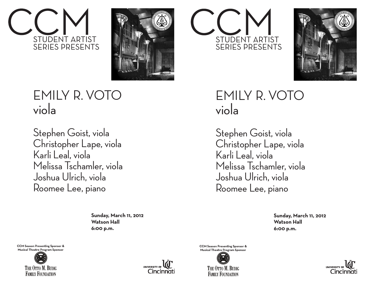



## EMILY R. VOTO viola

Stephen Goist, viola Christopher Lape, viola Karli Leal, viola Melissa Tschamler, viola Joshua Ulrich, viola Roomee Lee, piano

> **Sunday, March 11, 2012 Watson Hall 6:00 p.m.**

**CCM Season Presenting Sponsor & Musical Theatre Program Sponsor**